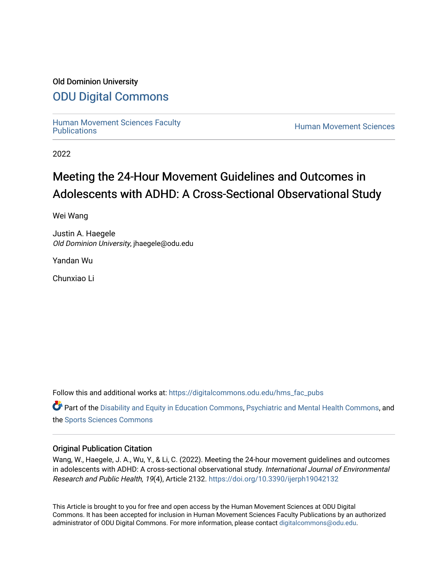## Old Dominion University

# [ODU Digital Commons](https://digitalcommons.odu.edu/)

[Human Movement Sciences Faculty](https://digitalcommons.odu.edu/hms_fac_pubs)

**Human Movement Sciences** 

2022

# Meeting the 24-Hour Movement Guidelines and Outcomes in Adolescents with ADHD: A Cross-Sectional Observational Study

Wei Wang

Justin A. Haegele Old Dominion University, jhaegele@odu.edu

Yandan Wu

Chunxiao Li

Follow this and additional works at: [https://digitalcommons.odu.edu/hms\\_fac\\_pubs](https://digitalcommons.odu.edu/hms_fac_pubs?utm_source=digitalcommons.odu.edu%2Fhms_fac_pubs%2F121&utm_medium=PDF&utm_campaign=PDFCoverPages) 

**C** Part of the [Disability and Equity in Education Commons](http://network.bepress.com/hgg/discipline/1040?utm_source=digitalcommons.odu.edu%2Fhms_fac_pubs%2F121&utm_medium=PDF&utm_campaign=PDFCoverPages), [Psychiatric and Mental Health Commons](http://network.bepress.com/hgg/discipline/711?utm_source=digitalcommons.odu.edu%2Fhms_fac_pubs%2F121&utm_medium=PDF&utm_campaign=PDFCoverPages), and the [Sports Sciences Commons](http://network.bepress.com/hgg/discipline/759?utm_source=digitalcommons.odu.edu%2Fhms_fac_pubs%2F121&utm_medium=PDF&utm_campaign=PDFCoverPages) 

## Original Publication Citation

Wang, W., Haegele, J. A., Wu, Y., & Li, C. (2022). Meeting the 24-hour movement guidelines and outcomes in adolescents with ADHD: A cross-sectional observational study. International Journal of Environmental Research and Public Health, 19(4), Article 2132.<https://doi.org/10.3390/ijerph19042132>

This Article is brought to you for free and open access by the Human Movement Sciences at ODU Digital Commons. It has been accepted for inclusion in Human Movement Sciences Faculty Publications by an authorized administrator of ODU Digital Commons. For more information, please contact [digitalcommons@odu.edu](mailto:digitalcommons@odu.edu).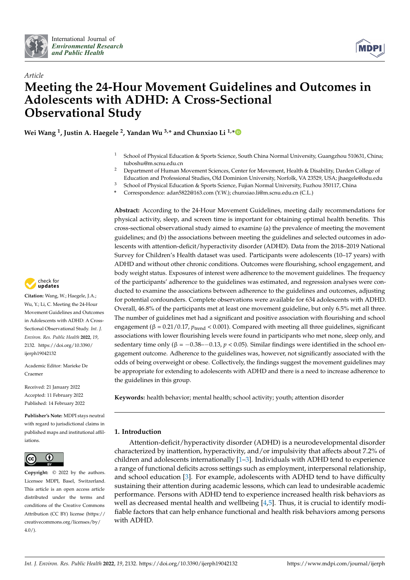



# *Article* **Meeting the 24-Hour Movement Guidelines and Outcomes in Adolescents with ADHD: A Cross-Sectional Observational Study**

**Wei Wang <sup>1</sup> , Justin A. Haegele <sup>2</sup> , Yandan Wu 3,\* and Chunxiao Li 1,[\\*](https://orcid.org/0000-0002-9959-5029)**

- <sup>1</sup> School of Physical Education & Sports Science, South China Normal University, Guangzhou 510631, China; tuboshu@m.scnu.edu.cn
- <sup>2</sup> Department of Human Movement Sciences, Center for Movement, Health & Disability, Darden College of Education and Professional Studies, Old Dominion University, Norfolk, VA 23529, USA; jhaegele@odu.edu
- <sup>3</sup> School of Physical Education & Sports Science, Fujian Normal University, Fuzhou 350117, China
- **\*** Correspondence: adan5822@163.com (Y.W.); chunxiao.li@m.scnu.edu.cn (C.L.)

**Abstract:** According to the 24-Hour Movement Guidelines, meeting daily recommendations for physical activity, sleep, and screen time is important for obtaining optimal health benefits. This cross-sectional observational study aimed to examine (a) the prevalence of meeting the movement guidelines; and (b) the associations between meeting the guidelines and selected outcomes in adolescents with attention-deficit/hyperactivity disorder (ADHD). Data from the 2018–2019 National Survey for Children's Health dataset was used. Participants were adolescents (10–17 years) with ADHD and without other chronic conditions. Outcomes were flourishing, school engagement, and body weight status. Exposures of interest were adherence to the movement guidelines. The frequency of the participants' adherence to the guidelines was estimated, and regression analyses were conducted to examine the associations between adherence to the guidelines and outcomes, adjusting for potential confounders. Complete observations were available for 634 adolescents with ADHD. Overall, 46.8% of the participants met at least one movement guideline, but only 6.5% met all three. The number of guidelines met had a significant and positive association with flourishing and school engagement (β = 0.21/0.17, *p*<sub>trend</sub> < 0.001). Compared with meeting all three guidelines, significant associations with lower flourishing levels were found in participants who met none, sleep only, and sedentary time only  $(\beta = -0.38 - -0.13, p < 0.05)$ . Similar findings were identified in the school engagement outcome. Adherence to the guidelines was, however, not significantly associated with the odds of being overweight or obese. Collectively, the findings suggest the movement guidelines may be appropriate for extending to adolescents with ADHD and there is a need to increase adherence to the guidelines in this group.

**Keywords:** health behavior; mental health; school activity; youth; attention disorder

#### **1. Introduction**

Attention-deficit/hyperactivity disorder (ADHD) is a neurodevelopmental disorder characterized by inattention, hyperactivity, and/or impulsivity that affects about 7.2% of children and adolescents internationally  $[1-3]$  $[1-3]$ . Individuals with ADHD tend to experience a range of functional deficits across settings such as employment, interpersonal relationship, and school education [\[3\]](#page-9-1). For example, adolescents with ADHD tend to have difficulty sustaining their attention during academic lessons, which can lead to undesirable academic performance. Persons with ADHD tend to experience increased health risk behaviors as well as decreased mental health and wellbeing  $[4,5]$  $[4,5]$ . Thus, it is crucial to identify modifiable factors that can help enhance functional and health risk behaviors among persons with ADHD.



**Citation:** Wang, W.; Haegele, J.A.; Wu, Y.; Li, C. Meeting the 24-Hour Movement Guidelines and Outcomes in Adolescents with ADHD: A Cross-Sectional Observational Study. *Int. J. Environ. Res. Public Health* **2022**, *19*, 2132. [https://doi.org/10.3390/](https://doi.org/10.3390/ijerph19042132) [ijerph19042132](https://doi.org/10.3390/ijerph19042132)

Academic Editor: Marieke De Craemer

Received: 21 January 2022 Accepted: 11 February 2022 Published: 14 February 2022

**Publisher's Note:** MDPI stays neutral with regard to jurisdictional claims in published maps and institutional affiliations.



**Copyright:** © 2022 by the authors. Licensee MDPI, Basel, Switzerland. This article is an open access article distributed under the terms and conditions of the Creative Commons Attribution (CC BY) license [\(https://](https://creativecommons.org/licenses/by/4.0/) [creativecommons.org/licenses/by/](https://creativecommons.org/licenses/by/4.0/)  $4.0/$ ).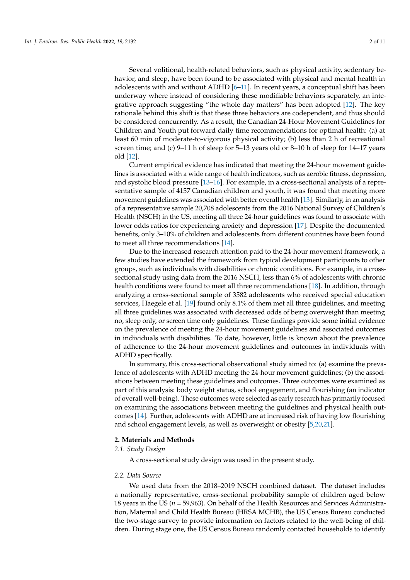Several volitional, health-related behaviors, such as physical activity, sedentary behavior, and sleep, have been found to be associated with physical and mental health in adolescents with and without ADHD  $[6-11]$  $[6-11]$ . In recent years, a conceptual shift has been underway where instead of considering these modifiable behaviors separately, an integrative approach suggesting "the whole day matters" has been adopted [\[12\]](#page-9-6). The key rationale behind this shift is that these three behaviors are codependent, and thus should be considered concurrently. As a result, the Canadian 24-Hour Movement Guidelines for Children and Youth put forward daily time recommendations for optimal health: (a) at least 60 min of moderate-to-vigorous physical activity; (b) less than 2 h of recreational screen time; and (c) 9–11 h of sleep for 5–13 years old or 8–10 h of sleep for 14–17 years old [\[12\]](#page-9-6).

Current empirical evidence has indicated that meeting the 24-hour movement guidelines is associated with a wide range of health indicators, such as aerobic fitness, depression, and systolic blood pressure [\[13–](#page-10-0)[16\]](#page-10-1). For example, in a cross-sectional analysis of a representative sample of 4157 Canadian children and youth, it was found that meeting more movement guidelines was associated with better overall health [\[13\]](#page-10-0). Similarly, in an analysis of a representative sample 20,708 adolescents from the 2016 National Survey of Children's Health (NSCH) in the US, meeting all three 24-hour guidelines was found to associate with lower odds ratios for experiencing anxiety and depression [\[17\]](#page-10-2). Despite the documented benefits, only 3–10% of children and adolescents from different countries have been found to meet all three recommendations [\[14\]](#page-10-3).

Due to the increased research attention paid to the 24-hour movement framework, a few studies have extended the framework from typical development participants to other groups, such as individuals with disabilities or chronic conditions. For example, in a crosssectional study using data from the 2016 NSCH, less than 6% of adolescents with chronic health conditions were found to meet all three recommendations [\[18\]](#page-10-4). In addition, through analyzing a cross-sectional sample of 3582 adolescents who received special education services, Haegele et al. [\[19\]](#page-10-5) found only 8.1% of them met all three guidelines, and meeting all three guidelines was associated with decreased odds of being overweight than meeting no, sleep only, or screen time only guidelines. These findings provide some initial evidence on the prevalence of meeting the 24-hour movement guidelines and associated outcomes in individuals with disabilities. To date, however, little is known about the prevalence of adherence to the 24-hour movement guidelines and outcomes in individuals with ADHD specifically.

In summary, this cross-sectional observational study aimed to: (a) examine the prevalence of adolescents with ADHD meeting the 24-hour movement guidelines; (b) the associations between meeting these guidelines and outcomes. Three outcomes were examined as part of this analysis: body weight status, school engagement, and flourishing (an indicator of overall well-being). These outcomes were selected as early research has primarily focused on examining the associations between meeting the guidelines and physical health outcomes [\[14\]](#page-10-3). Further, adolescents with ADHD are at increased risk of having low flourishing and school engagement levels, as well as overweight or obesity [\[5,](#page-9-3)[20](#page-10-6)[,21\]](#page-10-7).

#### **2. Materials and Methods**

#### *2.1. Study Design*

A cross-sectional study design was used in the present study.

#### *2.2. Data Source*

We used data from the 2018–2019 NSCH combined dataset. The dataset includes a nationally representative, cross-sectional probability sample of children aged below 18 years in the US (*n* = 59,963). On behalf of the Health Resources and Services Administration, Maternal and Child Health Bureau (HRSA MCHB), the US Census Bureau conducted the two-stage survey to provide information on factors related to the well-being of children. During stage one, the US Census Bureau randomly contacted households to identify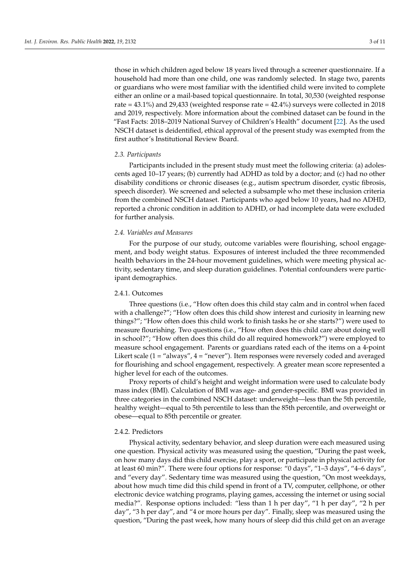those in which children aged below 18 years lived through a screener questionnaire. If a household had more than one child, one was randomly selected. In stage two, parents or guardians who were most familiar with the identified child were invited to complete either an online or a mail-based topical questionnaire. In total, 30,530 (weighted response rate =  $43.1\%$ ) and  $29.433$  (weighted response rate =  $42.4\%$ ) surveys were collected in 2018 and 2019, respectively. More information about the combined dataset can be found in the "Fast Facts: 2018–2019 National Survey of Children's Health" document [\[22\]](#page-10-8). As the used NSCH dataset is deidentified, ethical approval of the present study was exempted from the first author's Institutional Review Board.

#### *2.3. Participants*

Participants included in the present study must meet the following criteria: (a) adolescents aged 10–17 years; (b) currently had ADHD as told by a doctor; and (c) had no other disability conditions or chronic diseases (e.g., autism spectrum disorder, cystic fibrosis, speech disorder). We screened and selected a subsample who met these inclusion criteria from the combined NSCH dataset. Participants who aged below 10 years, had no ADHD, reported a chronic condition in addition to ADHD, or had incomplete data were excluded for further analysis.

#### *2.4. Variables and Measures*

For the purpose of our study, outcome variables were flourishing, school engagement, and body weight status. Exposures of interest included the three recommended health behaviors in the 24-hour movement guidelines, which were meeting physical activity, sedentary time, and sleep duration guidelines. Potential confounders were participant demographics.

#### 2.4.1. Outcomes

Three questions (i.e., "How often does this child stay calm and in control when faced with a challenge?"; "How often does this child show interest and curiosity in learning new things?"; "How often does this child work to finish tasks he or she starts?") were used to measure flourishing. Two questions (i.e., "How often does this child care about doing well in school?"; "How often does this child do all required homework?") were employed to measure school engagement. Parents or guardians rated each of the items on a 4-point Likert scale (1 = "always", 4 = "never"). Item responses were reversely coded and averaged for flourishing and school engagement, respectively. A greater mean score represented a higher level for each of the outcomes.

Proxy reports of child's height and weight information were used to calculate body mass index (BMI). Calculation of BMI was age- and gender-specific. BMI was provided in three categories in the combined NSCH dataset: underweight—less than the 5th percentile, healthy weight—equal to 5th percentile to less than the 85th percentile, and overweight or obese—equal to 85th percentile or greater.

#### 2.4.2. Predictors

Physical activity, sedentary behavior, and sleep duration were each measured using one question. Physical activity was measured using the question, "During the past week, on how many days did this child exercise, play a sport, or participate in physical activity for at least 60 min?". There were four options for response: "0 days", "1–3 days", "4–6 days", and "every day". Sedentary time was measured using the question, "On most weekdays, about how much time did this child spend in front of a TV, computer, cellphone, or other electronic device watching programs, playing games, accessing the internet or using social media?". Response options included: "less than 1 h per day", "1 h per day", "2 h per day", "3 h per day", and "4 or more hours per day". Finally, sleep was measured using the question, "During the past week, how many hours of sleep did this child get on an average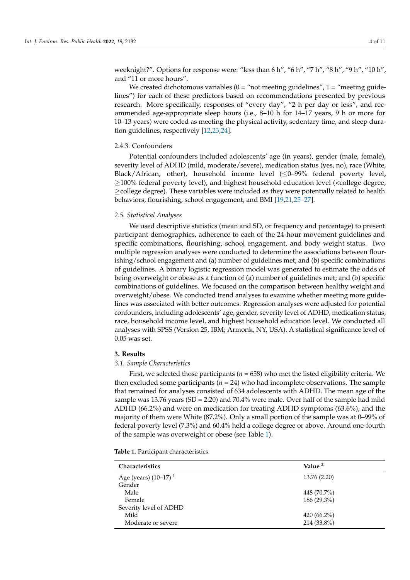weeknight?". Options for response were: "less than 6 h", "6 h", "7 h", "8 h", "9 h", "10 h", and "11 or more hours".

We created dichotomous variables  $(0 = "not meeting guidelines", 1 = "meeting guide$ lines") for each of these predictors based on recommendations presented by previous research. More specifically, responses of "every day", "2 h per day or less", and recommended age-appropriate sleep hours (i.e., 8–10 h for 14–17 years, 9 h or more for 10–13 years) were coded as meeting the physical activity, sedentary time, and sleep duration guidelines, respectively [\[12](#page-9-6)[,23](#page-10-9)[,24\]](#page-10-10).

#### 2.4.3. Confounders

Potential confounders included adolescents' age (in years), gender (male, female), severity level of ADHD (mild, moderate/severe), medication status (yes, no), race (White, Black/African, other), household income level  $(\leq 0$ –99% federal poverty level,  $\geq$ 100% federal poverty level), and highest household education level (<college degree, ≥college degree). These variables were included as they were potentially related to health behaviors, flourishing, school engagement, and BMI [\[19](#page-10-5)[,21](#page-10-7)[,25–](#page-10-11)[27\]](#page-10-12).

#### *2.5. Statistical Analyses*

We used descriptive statistics (mean and SD, or frequency and percentage) to present participant demographics, adherence to each of the 24-hour movement guidelines and specific combinations, flourishing, school engagement, and body weight status. Two multiple regression analyses were conducted to determine the associations between flourishing/school engagement and (a) number of guidelines met; and (b) specific combinations of guidelines. A binary logistic regression model was generated to estimate the odds of being overweight or obese as a function of (a) number of guidelines met; and (b) specific combinations of guidelines. We focused on the comparison between healthy weight and overweight/obese. We conducted trend analyses to examine whether meeting more guidelines was associated with better outcomes. Regression analyses were adjusted for potential confounders, including adolescents' age, gender, severity level of ADHD, medication status, race, household income level, and highest household education level. We conducted all analyses with SPSS (Version 25, IBM; Armonk, NY, USA). A statistical significance level of 0.05 was set.

#### **3. Results**

#### *3.1. Sample Characteristics*

First, we selected those participants (*n* = 658) who met the listed eligibility criteria. We then excluded some participants  $(n = 24)$  who had incomplete observations. The sample that remained for analyses consisted of 634 adolescents with ADHD. The mean age of the sample was 13.76 years  $(SD = 2.20)$  and 70.4% were male. Over half of the sample had mild ADHD (66.2%) and were on medication for treating ADHD symptoms (63.6%), and the majority of them were White (87.2%). Only a small portion of the sample was at 0–99% of federal poverty level (7.3%) and 60.4% held a college degree or above. Around one-fourth of the sample was overweight or obese (see Table [1\)](#page-5-0).

**Table 1.** Participant characteristics.

| <b>Characteristics</b>  | Value <sup>2</sup> |
|-------------------------|--------------------|
| Age (years) $(10-17)^1$ | 13.76 (2.20)       |
| Gender                  |                    |
| Male                    | 448 (70.7%)        |
| Female                  | 186 (29.3%)        |
| Severity level of ADHD  |                    |
| Mild                    | 420 $(66.2\%)$     |
| Moderate or severe      | 214 (33.8%)        |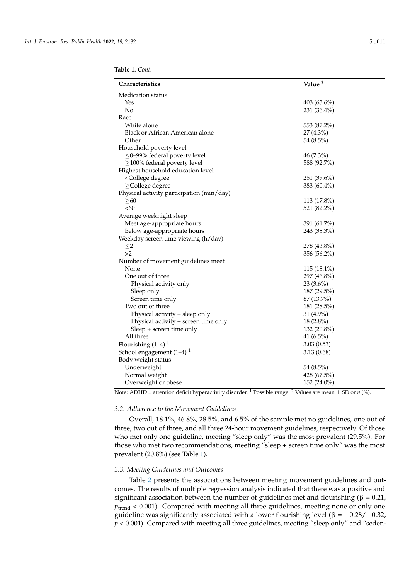<span id="page-5-0"></span>

| Characteristics                                          | Value <sup>2</sup> |
|----------------------------------------------------------|--------------------|
| <b>Medication</b> status                                 |                    |
| Yes                                                      | $403(63.6\%)$      |
| No                                                       | 231 (36.4%)        |
| Race                                                     |                    |
| White alone                                              | 553 (87.2%)        |
| Black or African American alone                          | $27(4.3\%)$        |
| Other                                                    | 54 (8.5%)          |
| Household poverty level                                  |                    |
| $\leq$ 0-99% federal poverty level                       | 46 (7.3%)          |
| $\geq$ 100% federal poverty level                        | 588 (92.7%)        |
| Highest household education level                        |                    |
| <college degree<="" td=""><td>251 (39.6%)</td></college> | 251 (39.6%)        |
| $\geq$ College degree                                    | 383 (60.4%)        |
| Physical activity participation (min/day)                |                    |
| $\geq 60$                                                | $113(17.8\%)$      |
| <60                                                      | 521 (82.2%)        |
| Average weeknight sleep                                  |                    |
| Meet age-appropriate hours                               | 391 (61.7%)        |
| Below age-appropriate hours                              | 243 (38.3%)        |
| Weekday screen time viewing (h/day)                      |                    |
| $\leq$ 2                                                 | 278 (43.8%)        |
| >2                                                       | 356 (56.2%)        |
| Number of movement guidelines meet                       |                    |
| None                                                     | 115 (18.1%)        |
| One out of three                                         | 297 (46.8%)        |
| Physical activity only                                   | $23(3.6\%)$        |
| Sleep only                                               | $187(29.5\%)$      |
| Screen time only                                         | 87 (13.7%)         |
| Two out of three                                         | 181 (28.5%)        |
| Physical activity + sleep only                           | 31 (4.9%)          |
| Physical activity + screen time only                     | $18(2.8\%)$        |
| Sleep + screen time only                                 | 132 (20.8%)        |
| All three                                                | 41 $(6.5\%)$       |
| Flourishing $(1-4)$ <sup>1</sup>                         | 3.03(0.53)         |
| School engagement $(1-4)$ <sup>1</sup>                   | 3.13(0.68)         |
| Body weight status                                       |                    |
| Underweight                                              | 54 (8.5%)          |
| Normal weight                                            | 428 (67.5%)        |
| Overweight or obese                                      | 152 (24.0%)        |

Note: ADHD = attention deficit hyperactivity disorder. <sup>1</sup> Possible range. <sup>2</sup> Values are mean  $\pm$  SD or *n* (%).

#### *3.2. Adherence to the Movement Guidelines*

Overall, 18.1%, 46.8%, 28.5%, and 6.5% of the sample met no guidelines, one out of three, two out of three, and all three 24-hour movement guidelines, respectively. Of those who met only one guideline, meeting "sleep only" was the most prevalent (29.5%). For those who met two recommendations, meeting "sleep + screen time only" was the most prevalent (20.8%) (see Table [1\)](#page-5-0).

#### *3.3. Meeting Guidelines and Outcomes*

Table [2](#page-6-0) presents the associations between meeting movement guidelines and outcomes. The results of multiple regression analysis indicated that there was a positive and significant association between the number of guidelines met and flourishing ( $\beta = 0.21$ ,  $p_{\text{trend}} < 0.001$ ). Compared with meeting all three guidelines, meeting none or only one guideline was significantly associated with a lower flourishing level ( $β = -0.28/-0.32$ , *p* < 0.001). Compared with meeting all three guidelines, meeting "sleep only" and "seden-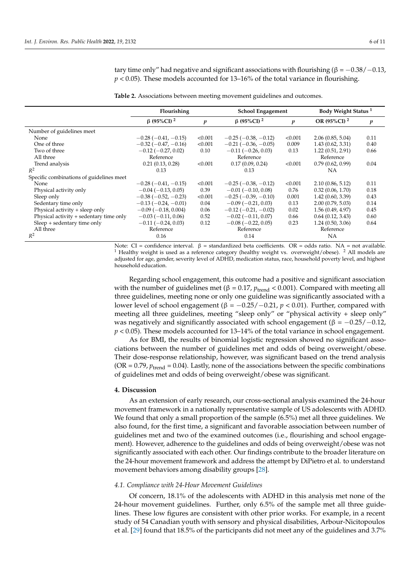tary time only" had negative and significant associations with flourishing ( $\beta = -0.38/-0.13$ , *p* < 0.05). These models accounted for 13–16% of the total variance in flourishing.

<span id="page-6-0"></span>**Table 2.** Associations between meeting movement guidelines and outcomes.

|                                          | Flourishing                   |                  | School Engagement             |         | Body Weight Status <sup>1</sup> |                  |
|------------------------------------------|-------------------------------|------------------|-------------------------------|---------|---------------------------------|------------------|
|                                          | $\beta$ (95%CI) <sup>2</sup>  | $\boldsymbol{p}$ | $\beta$ (95%CI) <sup>2</sup>  | p       | OR $(95\%CI)^2$                 | $\boldsymbol{p}$ |
| Number of guidelines meet                |                               |                  |                               |         |                                 |                  |
| None                                     | $-0.28(-0.41,-0.15)$          | < 0.001          | $-0.25(-0.38,-0.12)$          | < 0.001 | 2.06(0.85, 5.04)                | 0.11             |
| One of three                             | $-0.32$ ( $-0.47$ , $-0.16$ ) | < 0.001          | $-0.21(-0.36, -0.05)$         | 0.009   | 1.43(0.62, 3.31)                | 0.40             |
| Two of three                             | $-0.12$ ( $-0.27$ , 0.02)     | 0.10             | $-0.11$ ( $-0.26$ , 0.03)     | 0.13    | 1.22(0.51, 2.91)                | 0.66             |
| All three                                | Reference                     |                  | Reference                     |         | Reference                       |                  |
| Trend analysis                           | 0.21(0.13, 0.28)              | < 0.001          | 0.17(0.09, 0.24)              | < 0.001 | 0.79(0.62, 0.99)                | 0.04             |
| $R^2$                                    | 0.13                          |                  | 0.13                          |         | NΑ                              |                  |
| Specific combinations of guidelines meet |                               |                  |                               |         |                                 |                  |
| None                                     | $-0.28$ ( $-0.41$ , $-0.15$ ) | < 0.001          | $-0.25(-0.38,-0.12)$          | < 0.001 | 2.10(0.86, 5.12)                | 0.11             |
| Physical activity only                   | $-0.04(-0.13, 0.05)$          | 0.39             | $-0.01$ ( $-0.10$ , 0.08)     | 0.76    | 0.32(0.06, 1.70)                | 0.18             |
| Sleep only                               | $-0.38(-0.52,-0.23)$          | < 0.001          | $-0.25(-0.39, -0.10)$         | 0.001   | 1.42(0.60, 3.39)                | 0.43             |
| Sedentary time only                      | $-0.13(-0.24,-0.01)$          | 0.04             | $-0.09(-0.21, 0.03)$          | 0.13    | 2.00(0.79, 5.03)                | 0.14             |
| Physical activity $+$ sleep only         | $-0.09$ ( $-0.18$ , 0.004)    | 0.06             | $-0.12$ ( $-0.21$ , $-0.02$ ) | 0.02    | 1.56(0.49, 4.97)                | 0.45             |
| Physical activity + sedentary time only  | $-0.03(-0.11, 0.06)$          | 0.52             | $-0.02$ ( $-0.11$ , 0.07)     | 0.66    | 0.64(0.12, 3.43)                | 0.60             |
| Sleep + sedentary time only              | $-0.11(-0.24, 0.03)$          | 0.12             | $-0.08$ ( $-0.22$ , 0.05)     | 0.23    | 1.24(0.50, 3.06)                | 0.64             |
| All three                                | Reference                     |                  | Reference                     |         | Reference                       |                  |
| $R^2$                                    | 0.16                          |                  | 0.14                          |         | <b>NA</b>                       |                  |

Note: CI = confidence interval.  $β$  = standardized beta coefficients. OR = odds ratio. NA = not available. <sup>1</sup> Healthy weight is used as a reference category (healthy weight vs. overweight/obese). <sup>2</sup> All models are adjusted for age, gender, severity level of ADHD, medication status, race, household poverty level, and highest household education.

Regarding school engagement, this outcome had a positive and significant association with the number of guidelines met ( $β = 0.17$ ,  $p_{\text{trend}} < 0.001$ ). Compared with meeting all three guidelines, meeting none or only one guideline was significantly associated with a lower level of school engagement (β = −0.25/−0.21, *p* < 0.01). Further, compared with meeting all three guidelines, meeting "sleep only" or "physical activity + sleep only" was negatively and significantly associated with school engagement ( $\beta = -0.25/-0.12$ , *p* < 0.05). These models accounted for 13–14% of the total variance in school engagement.

As for BMI, the results of binomial logistic regression showed no significant associations between the number of guidelines met and odds of being overweight/obese. Their dose-response relationship, however, was significant based on the trend analysis (OR =  $0.79$ ,  $p_{\text{trend}} = 0.04$ ). Lastly, none of the associations between the specific combinations of guidelines met and odds of being overweight/obese was significant.

#### **4. Discussion**

As an extension of early research, our cross-sectional analysis examined the 24-hour movement framework in a nationally representative sample of US adolescents with ADHD. We found that only a small proportion of the sample (6.5%) met all three guidelines. We also found, for the first time, a significant and favorable association between number of guidelines met and two of the examined outcomes (i.e., flourishing and school engagement). However, adherence to the guidelines and odds of being overweight/obese was not significantly associated with each other. Our findings contribute to the broader literature on the 24-hour movement framework and address the attempt by DiPietro et al. to understand movement behaviors among disability groups [\[28\]](#page-10-13).

### *4.1. Compliance with 24-Hour Movement Guidelines*

Of concern, 18.1% of the adolescents with ADHD in this analysis met none of the 24-hour movement guidelines. Further, only 6.5% of the sample met all three guidelines. These low figures are consistent with other prior works. For example, in a recent study of 54 Canadian youth with sensory and physical disabilities, Arbour-Nicitopoulos et al. [\[29\]](#page-10-14) found that 18.5% of the participants did not meet any of the guidelines and 3.7%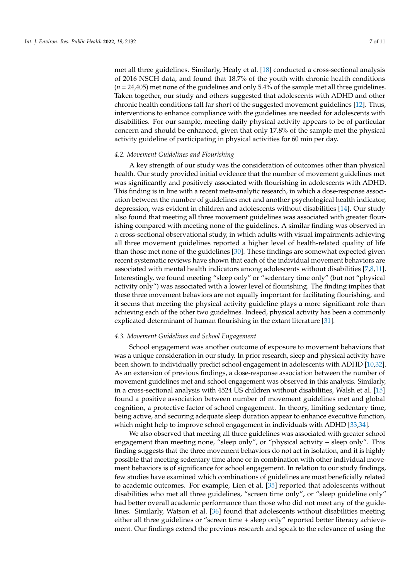met all three guidelines. Similarly, Healy et al. [\[18\]](#page-10-4) conducted a cross-sectional analysis of 2016 NSCH data, and found that 18.7% of the youth with chronic health conditions (*n* = 24,405) met none of the guidelines and only 5.4% of the sample met all three guidelines. Taken together, our study and others suggested that adolescents with ADHD and other chronic health conditions fall far short of the suggested movement guidelines [\[12\]](#page-9-6). Thus, interventions to enhance compliance with the guidelines are needed for adolescents with disabilities. For our sample, meeting daily physical activity appears to be of particular concern and should be enhanced, given that only 17.8% of the sample met the physical activity guideline of participating in physical activities for 60 min per day.

#### *4.2. Movement Guidelines and Flourishing*

A key strength of our study was the consideration of outcomes other than physical health. Our study provided initial evidence that the number of movement guidelines met was significantly and positively associated with flourishing in adolescents with ADHD. This finding is in line with a recent meta-analytic research, in which a dose-response association between the number of guidelines met and another psychological health indicator, depression, was evident in children and adolescents without disabilities [\[14\]](#page-10-3). Our study also found that meeting all three movement guidelines was associated with greater flourishing compared with meeting none of the guidelines. A similar finding was observed in a cross-sectional observational study, in which adults with visual impairments achieving all three movement guidelines reported a higher level of health-related quality of life than those met none of the guidelines [\[30\]](#page-10-15). These findings are somewhat expected given recent systematic reviews have shown that each of the individual movement behaviors are associated with mental health indicators among adolescents without disabilities [\[7,](#page-9-7)[8,](#page-9-8)[11\]](#page-9-5). Interestingly, we found meeting "sleep only" or "sedentary time only" (but not "physical activity only") was associated with a lower level of flourishing. The finding implies that these three movement behaviors are not equally important for facilitating flourishing, and it seems that meeting the physical activity guideline plays a more significant role than achieving each of the other two guidelines. Indeed, physical activity has been a commonly explicated determinant of human flourishing in the extant literature [\[31\]](#page-10-16).

#### *4.3. Movement Guidelines and School Engagement*

School engagement was another outcome of exposure to movement behaviors that was a unique consideration in our study. In prior research, sleep and physical activity have been shown to individually predict school engagement in adolescents with ADHD [\[10](#page-9-9)[,32\]](#page-10-17). As an extension of previous findings, a dose-response association between the number of movement guidelines met and school engagement was observed in this analysis. Similarly, in a cross-sectional analysis with 4524 US children without disabilities, Walsh et al. [\[15\]](#page-10-18) found a positive association between number of movement guidelines met and global cognition, a protective factor of school engagement. In theory, limiting sedentary time, being active, and securing adequate sleep duration appear to enhance executive function, which might help to improve school engagement in individuals with ADHD [\[33,](#page-10-19)[34\]](#page-10-20).

We also observed that meeting all three guidelines was associated with greater school engagement than meeting none, "sleep only", or "physical activity + sleep only". This finding suggests that the three movement behaviors do not act in isolation, and it is highly possible that meeting sedentary time alone or in combination with other individual movement behaviors is of significance for school engagement. In relation to our study findings, few studies have examined which combinations of guidelines are most beneficially related to academic outcomes. For example, Lien et al. [\[35\]](#page-10-21) reported that adolescents without disabilities who met all three guidelines, "screen time only", or "sleep guideline only" had better overall academic performance than those who did not meet any of the guidelines. Similarly, Watson et al. [\[36\]](#page-10-22) found that adolescents without disabilities meeting either all three guidelines or "screen time + sleep only" reported better literacy achievement. Our findings extend the previous research and speak to the relevance of using the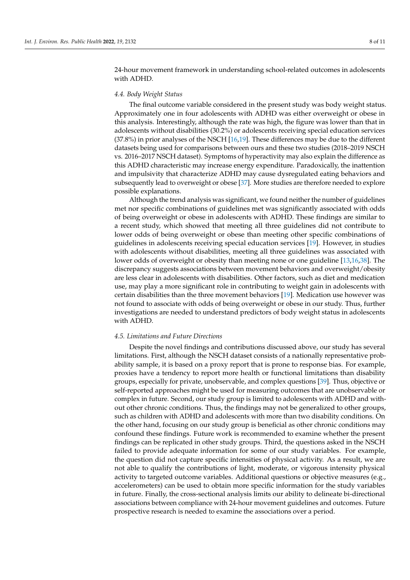24-hour movement framework in understanding school-related outcomes in adolescents with ADHD.

#### *4.4. Body Weight Status*

The final outcome variable considered in the present study was body weight status. Approximately one in four adolescents with ADHD was either overweight or obese in this analysis. Interestingly, although the rate was high, the figure was lower than that in adolescents without disabilities (30.2%) or adolescents receiving special education services (37.8%) in prior analyses of the NSCH [\[16](#page-10-1)[,19\]](#page-10-5). These differences may be due to the different datasets being used for comparisons between ours and these two studies (2018–2019 NSCH vs. 2016–2017 NSCH dataset). Symptoms of hyperactivity may also explain the difference as this ADHD characteristic may increase energy expenditure. Paradoxically, the inattention and impulsivity that characterize ADHD may cause dysregulated eating behaviors and subsequently lead to overweight or obese [\[37\]](#page-11-0). More studies are therefore needed to explore possible explanations.

Although the trend analysis was significant, we found neither the number of guidelines met nor specific combinations of guidelines met was significantly associated with odds of being overweight or obese in adolescents with ADHD. These findings are similar to a recent study, which showed that meeting all three guidelines did not contribute to lower odds of being overweight or obese than meeting other specific combinations of guidelines in adolescents receiving special education services [\[19\]](#page-10-5). However, in studies with adolescents without disabilities, meeting all three guidelines was associated with lower odds of overweight or obesity than meeting none or one guideline [\[13,](#page-10-0)[16,](#page-10-1)[38\]](#page-11-1). The discrepancy suggests associations between movement behaviors and overweight/obesity are less clear in adolescents with disabilities. Other factors, such as diet and medication use, may play a more significant role in contributing to weight gain in adolescents with certain disabilities than the three movement behaviors [\[19\]](#page-10-5). Medication use however was not found to associate with odds of being overweight or obese in our study. Thus, further investigations are needed to understand predictors of body weight status in adolescents with ADHD.

#### *4.5. Limitations and Future Directions*

Despite the novel findings and contributions discussed above, our study has several limitations. First, although the NSCH dataset consists of a nationally representative probability sample, it is based on a proxy report that is prone to response bias. For example, proxies have a tendency to report more health or functional limitations than disability groups, especially for private, unobservable, and complex questions [\[39\]](#page-11-2). Thus, objective or self-reported approaches might be used for measuring outcomes that are unobservable or complex in future. Second, our study group is limited to adolescents with ADHD and without other chronic conditions. Thus, the findings may not be generalized to other groups, such as children with ADHD and adolescents with more than two disability conditions. On the other hand, focusing on our study group is beneficial as other chronic conditions may confound these findings. Future work is recommended to examine whether the present findings can be replicated in other study groups. Third, the questions asked in the NSCH failed to provide adequate information for some of our study variables. For example, the question did not capture specific intensities of physical activity. As a result, we are not able to qualify the contributions of light, moderate, or vigorous intensity physical activity to targeted outcome variables. Additional questions or objective measures (e.g., accelerometers) can be used to obtain more specific information for the study variables in future. Finally, the cross-sectional analysis limits our ability to delineate bi-directional associations between compliance with 24-hour movement guidelines and outcomes. Future prospective research is needed to examine the associations over a period.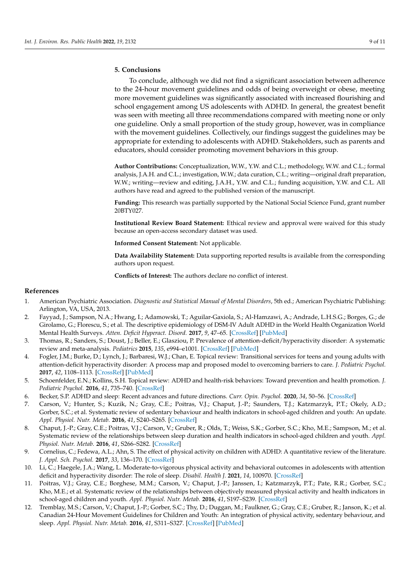#### **5. Conclusions**

To conclude, although we did not find a significant association between adherence to the 24-hour movement guidelines and odds of being overweight or obese, meeting more movement guidelines was significantly associated with increased flourishing and school engagement among US adolescents with ADHD. In general, the greatest benefit was seen with meeting all three recommendations compared with meeting none or only one guideline. Only a small proportion of the study group, however, was in compliance with the movement guidelines. Collectively, our findings suggest the guidelines may be appropriate for extending to adolescents with ADHD. Stakeholders, such as parents and educators, should consider promoting movement behaviors in this group.

**Author Contributions:** Conceptualization, W.W., Y.W. and C.L.; methodology, W.W. and C.L.; formal analysis, J.A.H. and C.L.; investigation, W.W.; data curation, C.L.; writing—original draft preparation, W.W.; writing—review and editing, J.A.H., Y.W. and C.L.; funding acquisition, Y.W. and C.L. All authors have read and agreed to the published version of the manuscript.

**Funding:** This research was partially supported by the National Social Science Fund, grant number 20BTY027.

**Institutional Review Board Statement:** Ethical review and approval were waived for this study because an open-access secondary dataset was used.

**Informed Consent Statement:** Not applicable.

**Data Availability Statement:** Data supporting reported results is available from the corresponding authors upon request.

**Conflicts of Interest:** The authors declare no conflict of interest.

#### **References**

- <span id="page-9-0"></span>1. American Psychiatric Association. *Diagnostic and Statistical Manual of Mental Disorders*, 5th ed.; American Psychiatric Publishing: Arlington, VA, USA, 2013.
- 2. Fayyad, J.; Sampson, N.A.; Hwang, I.; Adamowski, T.; Aguilar-Gaxiola, S.; Al-Hamzawi, A.; Andrade, L.H.S.G.; Borges, G.; de Girolamo, G.; Florescu, S.; et al. The descriptive epidemiology of DSM-IV Adult ADHD in the World Health Organization World Mental Health Surveys. *Atten. Deficit Hyperact. Disord.* **2017**, *9*, 47–65. [\[CrossRef\]](http://doi.org/10.1007/s12402-016-0208-3) [\[PubMed\]](http://www.ncbi.nlm.nih.gov/pubmed/27866355)
- <span id="page-9-1"></span>3. Thomas, R.; Sanders, S.; Doust, J.; Beller, E.; Glasziou, P. Prevalence of attention-deficit/hyperactivity disorder: A systematic review and meta-analysis. *Pediatrics* **2015**, *135*, e994–e1001. [\[CrossRef\]](http://doi.org/10.1542/peds.2014-3482) [\[PubMed\]](http://www.ncbi.nlm.nih.gov/pubmed/25733754)
- <span id="page-9-2"></span>4. Fogler, J.M.; Burke, D.; Lynch, J.; Barbaresi, W.J.; Chan, E. Topical review: Transitional services for teens and young adults with attention-deficit hyperactivity disorder: A process map and proposed model to overcoming barriers to care. *J. Pediatric Psychol.* **2017**, *42*, 1108–1113. [\[CrossRef\]](http://doi.org/10.1093/jpepsy/jsx102) [\[PubMed\]](http://www.ncbi.nlm.nih.gov/pubmed/29046039)
- <span id="page-9-3"></span>5. Schoenfelder, E.N.; Kollins, S.H. Topical review: ADHD and health-risk behaviors: Toward prevention and health promotion. *J. Pediatric Psychol.* **2016**, *41*, 735–740. [\[CrossRef\]](http://doi.org/10.1093/jpepsy/jsv162)
- <span id="page-9-4"></span>6. Becker, S.P. ADHD and sleep: Recent advances and future directions. *Curr. Opin. Psychol.* **2020**, *34*, 50–56. [\[CrossRef\]](http://doi.org/10.1016/j.copsyc.2019.09.006)
- <span id="page-9-7"></span>7. Carson, V.; Hunter, S.; Kuzik, N.; Gray, C.E.; Poitras, V.J.; Chaput, J.-P.; Saunders, T.J.; Katzmarzyk, P.T.; Okely, A.D.; Gorber, S.C.; et al. Systematic review of sedentary behaviour and health indicators in school-aged children and youth: An update. *Appl. Physiol. Nutr. Metab.* **2016**, *41*, S240–S265. [\[CrossRef\]](http://doi.org/10.1139/apnm-2015-0630)
- <span id="page-9-8"></span>8. Chaput, J.-P.; Gray, C.E.; Poitras, V.J.; Carson, V.; Gruber, R.; Olds, T.; Weiss, S.K.; Gorber, S.C.; Kho, M.E.; Sampson, M.; et al. Systematic review of the relationships between sleep duration and health indicators in school-aged children and youth. *Appl. Physiol. Nutr. Metab.* **2016**, *41*, S266–S282. [\[CrossRef\]](http://doi.org/10.1139/apnm-2015-0627)
- 9. Cornelius, C.; Fedewa, A.L.; Ahn, S. The effect of physical activity on children with ADHD: A quantitative review of the literature. *J. Appl. Sch. Psychol.* **2017**, *33*, 136–170. [\[CrossRef\]](http://doi.org/10.1080/15377903.2016.1265622)
- <span id="page-9-9"></span>10. Li, C.; Haegele, J.A.; Wang, L. Moderate-to-vigorous physical activity and behavioral outcomes in adolescents with attention deficit and hyperactivity disorder: The role of sleep. *Disabil. Health J.* **2021**, *14*, 100970. [\[CrossRef\]](http://doi.org/10.1016/j.dhjo.2020.100970)
- <span id="page-9-5"></span>11. Poitras, V.J.; Gray, C.E.; Borghese, M.M.; Carson, V.; Chaput, J.-P.; Janssen, I.; Katzmarzyk, P.T.; Pate, R.R.; Gorber, S.C.; Kho, M.E.; et al. Systematic review of the relationships between objectively measured physical activity and health indicators in school-aged children and youth. *Appl. Physiol. Nutr. Metab.* **2016**, *41*, S197–S239. [\[CrossRef\]](http://doi.org/10.1139/apnm-2015-0663)
- <span id="page-9-6"></span>12. Tremblay, M.S.; Carson, V.; Chaput, J.-P.; Gorber, S.C.; Thy, D.; Duggan, M.; Faulkner, G.; Gray, C.E.; Gruber, R.; Janson, K.; et al. Canadian 24-Hour Movement Guidelines for Children and Youth: An integration of physical activity, sedentary behaviour, and sleep. *Appl. Physiol. Nutr. Metab.* **2016**, *41*, S311–S327. [\[CrossRef\]](http://doi.org/10.1139/apnm-2016-0151) [\[PubMed\]](http://www.ncbi.nlm.nih.gov/pubmed/27306437)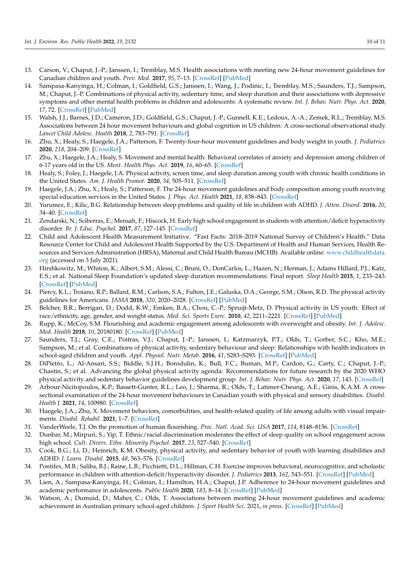- <span id="page-10-0"></span>13. Carson, V.; Chaput, J.-P.; Janssen, I.; Tremblay, M.S. Health associations with meeting new 24-hour movement guidelines for Canadian children and youth. *Prev. Med.* **2017**, *95*, 7–13. [\[CrossRef\]](http://doi.org/10.1016/j.ypmed.2016.12.005) [\[PubMed\]](http://www.ncbi.nlm.nih.gov/pubmed/27923668)
- <span id="page-10-3"></span>14. Sampasa-Kanyinga, H.; Colman, I.; Goldfield, G.S.; Janssen, I.; Wang, J.; Podinic, I.; Tremblay, M.S.; Saunders, T.J.; Sampson, M.; Chaput, J.-P. Combinations of physical activity, sedentary time, and sleep duration and their associations with depressive symptoms and other mental health problems in children and adolescents: A systematic review. *Int. J. Behav. Nutr. Phys. Act.* **2020**, *17*, 72. [\[CrossRef\]](http://doi.org/10.1186/s12966-020-00976-x) [\[PubMed\]](http://www.ncbi.nlm.nih.gov/pubmed/32503638)
- <span id="page-10-18"></span>15. Walsh, J.J.; Barnes, J.D.; Cameron, J.D.; Goldfield, G.S.; Chaput, J.-P.; Gunnell, K.E.; Ledoux, A.-A.; Zemek, R.L.; Tremblay, M.S. Associations between 24 hour movement behaviours and global cognition in US children: A cross-sectional observational study. *Lancet Child Adolesc. Health* **2018**, *2*, 783–791. [\[CrossRef\]](http://doi.org/10.1016/S2352-4642(18)30278-5)
- <span id="page-10-1"></span>16. Zhu, X.; Healy, S.; Haegele, J.A.; Patterson, F. Twenty-four-hour movement guidelines and body weight in youth. *J. Pediatrics* **2020**, *218*, 204–209. [\[CrossRef\]](http://doi.org/10.1016/j.jpeds.2019.11.031)
- <span id="page-10-2"></span>17. Zhu, X.; Haegele, J.A.; Healy, S. Movement and mental health: Behavioral correlates of anxiety and depression among children of 6-17 years old in the US. *Ment. Health Phys. Act.* **2019**, *16*, 60–65. [\[CrossRef\]](http://doi.org/10.1016/j.mhpa.2019.04.002)
- <span id="page-10-4"></span>18. Healy, S.; Foley, J.; Haegele, J.A. Physical activity, screen time, and sleep duration among youth with chronic health conditions in the United States. *Am. J. Health Promot.* **2020**, *34*, 505–511. [\[CrossRef\]](http://doi.org/10.1177/0890117120915687)
- <span id="page-10-5"></span>19. Haegele, J.A.; Zhu, X.; Healy, S.; Patterson, F. The 24-hour movement guidelines and body composition among youth receiving special education services in the United States. *J. Phys. Act. Health* **2021**, *18*, 838–843. [\[CrossRef\]](http://doi.org/10.1123/jpah.2019-0665)
- <span id="page-10-6"></span>20. Yurumez, E.; Kilic, B.G. Relationship between sleep problems and quality of life in children with ADHD. *J. Atten. Disord.* **2016**, *20*, 34–40. [\[CrossRef\]](http://doi.org/10.1177/1087054713479666)
- <span id="page-10-7"></span>21. Zendarski, N.; Sciberras, E.; Mensah, F.; Hiscock, H. Early high school engagement in students with attention/deficit hyperactivity disorder. *Br. J. Educ. Psychol.* **2017**, *87*, 127–145. [\[CrossRef\]](http://doi.org/10.1111/bjep.12140)
- <span id="page-10-8"></span>22. Child and Adolescent Health Measurement Initiative. "Fast Facts: 2018–2019 National Survey of Children's Health." Data Resource Center for Child and Adolescent Health Supported by the U.S. Department of Health and Human Services, Health Resources and Services Administration (HRSA), Maternal and Child Health Bureau (MCHB). Available online: [www.childhealthdata.](www.childhealthdata.org) [org](www.childhealthdata.org) (accessed on 3 July 2021).
- <span id="page-10-9"></span>23. Hirshkowitz, M.; Whiton, K.; Albert, S.M.; Alessi, C.; Bruni, O.; DonCarlos, L.; Hazen, N.; Herman, J.; Adams Hillard, P.J.; Katz, E.S.; et al. National Sleep Foundation's updated sleep duration recommendations: Final report. *Sleep Health* **2015**, *1*, 233–243. [\[CrossRef\]](http://doi.org/10.1016/j.sleh.2015.10.004) [\[PubMed\]](http://www.ncbi.nlm.nih.gov/pubmed/29073398)
- <span id="page-10-10"></span>24. Piercy, K.L.; Troiano, R.P.; Ballard, R.M.; Carlson, S.A.; Fulton, J.E.; Galuska, D.A.; George, S.M.; Olson, R.D. The physical activity guidelines for Americans. *JAMA* **2018**, *320*, 2020–2028. [\[CrossRef\]](http://doi.org/10.1001/jama.2018.14854) [\[PubMed\]](http://www.ncbi.nlm.nih.gov/pubmed/30418471)
- <span id="page-10-11"></span>25. Belcher, B.R.; Berrigan, D.; Dodd, K.W.; Emken, B.A.; Chou, C.-P.; Spruijt-Metz, D. Physical activity in US youth: Effect of race/ethnicity, age, gender, and weight status. *Med. Sci. Sports Exerc.* **2010**, *42*, 2211–2221. [\[CrossRef\]](http://doi.org/10.1249/MSS.0b013e3181e1fba9) [\[PubMed\]](http://www.ncbi.nlm.nih.gov/pubmed/21084930)
- 26. Rupp, K.; McCoy, S.M. Flourishing and academic engagement among adolescents with overweight and obesity. *Int. J. Adolesc. Med. Health* **2018**, *10*, 20180180. [\[CrossRef\]](http://doi.org/10.1515/ijamh-2018-0180) [\[PubMed\]](http://www.ncbi.nlm.nih.gov/pubmed/30496139)
- <span id="page-10-12"></span>27. Saunders, T.J.; Gray, C.E.; Poitras, V.J.; Chaput, J.-P.; Janssen, I.; Katzmarzyk, P.T.; Olds, T.; Gorber, S.C.; Kho, M.E.; Sampson, M.; et al. Combinations of physical activity, sedentary behaviour and sleep: Relationships with health indicators in school-aged children and youth. *Appl. Physiol. Nutr. Metab.* **2016**, *41*, S283–S293. [\[CrossRef\]](http://doi.org/10.1139/apnm-2015-0626) [\[PubMed\]](http://www.ncbi.nlm.nih.gov/pubmed/27306434)
- <span id="page-10-13"></span>28. DiPietro, L.; Al-Ansari, S.S.; Biddle, S.J.H.; Borodulin, K.; Bull, F.C.; Buman, M.P.; Cardon, G.; Carty, C.; Chaput, J.-P.; Chastin, S.; et al. Advancing the global physical activity agenda: Recommendations for future research by the 2020 WHO physical activity and sedentary behavior guidelines development group. *Int. J. Behav. Nutr. Phys. Act.* **2020**, *17*, 143. [\[CrossRef\]](http://doi.org/10.1186/s12966-020-01042-2)
- <span id="page-10-14"></span>29. Arbour-Nicitopoulos, K.P.; Bassett-Gunter, R.L.; Leo, J.; Sharma, R.; Olds, T.; Latimer-Cheung, A.E.; Ginis, K.A.M. A crosssectional examination of the 24-hour movement behaviours in Canadian youth with physical and sensory disabilities. *Disabil. Health J.* **2021**, *14*, 100980. [\[CrossRef\]](http://doi.org/10.1016/j.dhjo.2020.100980)
- <span id="page-10-15"></span>30. Haegele, J.A.; Zhu, X. Movement behaviors, comorbidities, and health-related quality of life among adults with visual impairments. *Disabil. Rehabil.* **2021**, 1–7. [\[CrossRef\]](http://doi.org/10.1080/09638288.2021.1906333)
- <span id="page-10-16"></span>31. VanderWeele, T.J. On the promotion of human flourishing. *Proc. Natl. Acad. Sci. USA* **2017**, *114*, 8148–8156. [\[CrossRef\]](http://doi.org/10.1073/pnas.1702996114)
- <span id="page-10-17"></span>32. Dunbar, M.; Mirpuri, S.; Yip, T. Ethnic/racial discrimination moderates the effect of sleep quality on school engagement across high school. *Cult. Divers. Ethn. Minority Psychol.* **2017**, *23*, 527–540. [\[CrossRef\]](http://doi.org/10.1037/cdp0000146)
- <span id="page-10-19"></span>33. Cook, B.G.; Li, D.; Heinrich, K.M. Obesity, physical activity, and sedentary behavior of youth with learning disabilities and ADHD. *J. Learn. Disabil.* **2015**, *48*, 563–576. [\[CrossRef\]](http://doi.org/10.1177/0022219413518582)
- <span id="page-10-20"></span>34. Pontifex, M.B.; Saliba, B.J.; Raine, L.B.; Picchietti, D.L.; Hillman, C.H. Exercise improves behavioral, neurocognitive, and scholastic performance in children with attention-deficit/hyperactivity disorder. *J. Pediatrics* **2013**, *162*, 543–551. [\[CrossRef\]](http://doi.org/10.1016/j.jpeds.2012.08.036) [\[PubMed\]](http://www.ncbi.nlm.nih.gov/pubmed/23084704)
- <span id="page-10-21"></span>35. Lien, A.; Sampasa-Kanyinga, H.; Colman, I.; Hamilton, H.A.; Chaput, J.P. Adherence to 24-hour movement guidelines and academic performance in adolescents. *Public Health* **2020**, *183*, 8–14. [\[CrossRef\]](http://doi.org/10.1016/j.puhe.2020.03.011) [\[PubMed\]](http://www.ncbi.nlm.nih.gov/pubmed/32402739)
- <span id="page-10-22"></span>36. Watson, A.; Dumuid, D.; Maher, C.; Olds, T. Associations between meeting 24-hour movement guidelines and academic achievement in Australian primary school-aged children. *J. Sport Health Sci.* 2021, *in press*. [\[CrossRef\]](http://doi.org/10.1016/j.jshs.2020.12.004) [\[PubMed\]](http://www.ncbi.nlm.nih.gov/pubmed/33359235)